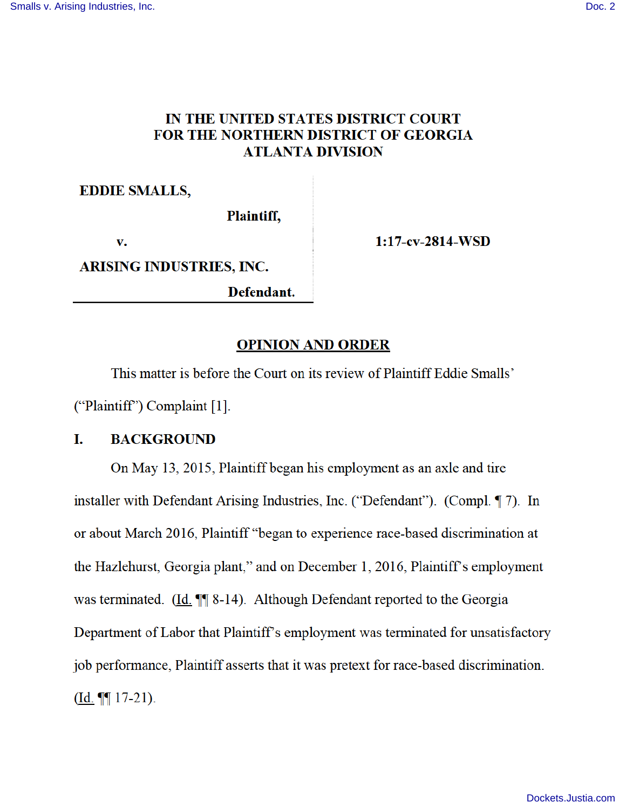# IN THE UNITED STATES DISTRICT COURT FOR THE NORTHERN DISTRICT OF GEORGIA **ATLANTA DIVISION**

# **EDDIE SMALLS,**

Plaintiff,

v.

 $1:17$ -cv-2814-WSD

**ARISING INDUSTRIES, INC.** 

Defendant.

## **OPINION AND ORDER**

This matter is before the Court on its review of Plaintiff Eddie Smalls' ("Plaintiff") Complaint [1].

#### I. **BACKGROUND**

On May 13, 2015, Plaintiff began his employment as an axle and tire installer with Defendant Arising Industries, Inc. ("Defendant"). (Compl. 17). In or about March 2016, Plaintiff "began to experience race-based discrimination at the Hazlehurst, Georgia plant," and on December 1, 2016, Plaintiff's employment was terminated. (Id. ¶ 8-14). Although Defendant reported to the Georgia Department of Labor that Plaintiff's employment was terminated for unsatisfactory job performance, Plaintiff asserts that it was pretext for race-based discrimination.  $(\underline{Id.} \P \P 17-21).$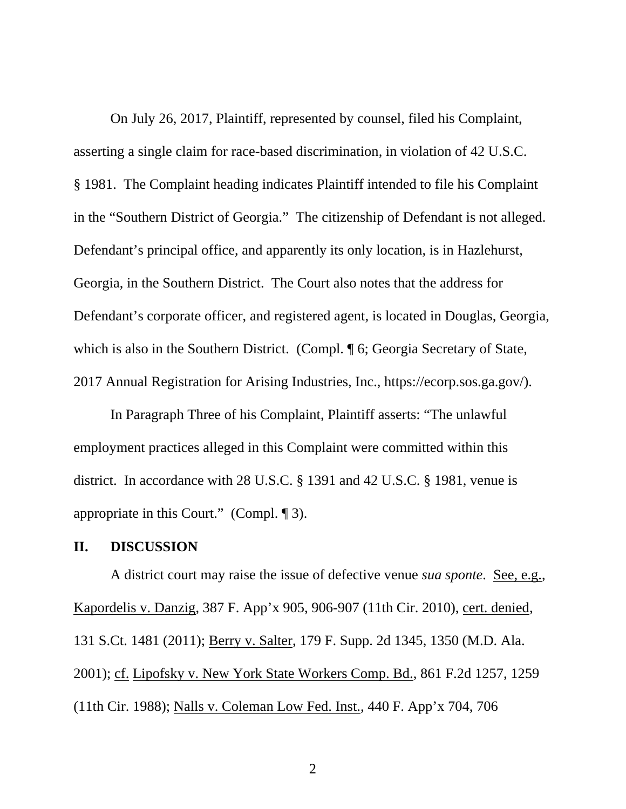On July 26, 2017, Plaintiff, represented by counsel, filed his Complaint, asserting a single claim for race-based discrimination, in violation of 42 U.S.C. § 1981. The Complaint heading indicates Plaintiff intended to file his Complaint in the "Southern District of Georgia." The citizenship of Defendant is not alleged. Defendant's principal office, and apparently its only location, is in Hazlehurst, Georgia, in the Southern District. The Court also notes that the address for Defendant's corporate officer, and registered agent, is located in Douglas, Georgia, which is also in the Southern District. (Compl. ¶ 6; Georgia Secretary of State, 2017 Annual Registration for Arising Industries, Inc., https://ecorp.sos.ga.gov/).

In Paragraph Three of his Complaint, Plaintiff asserts: "The unlawful employment practices alleged in this Complaint were committed within this district. In accordance with 28 U.S.C. § 1391 and 42 U.S.C. § 1981, venue is appropriate in this Court." (Compl. ¶ 3).

### **II. DISCUSSION**

A district court may raise the issue of defective venue *sua sponte*. See, e.g., Kapordelis v. Danzig, 387 F. App'x 905, 906-907 (11th Cir. 2010), cert. denied, 131 S.Ct. 1481 (2011); Berry v. Salter, 179 F. Supp. 2d 1345, 1350 (M.D. Ala. 2001); cf. Lipofsky v. New York State Workers Comp. Bd., 861 F.2d 1257, 1259 (11th Cir. 1988); Nalls v. Coleman Low Fed. Inst., 440 F. App'x 704, 706

2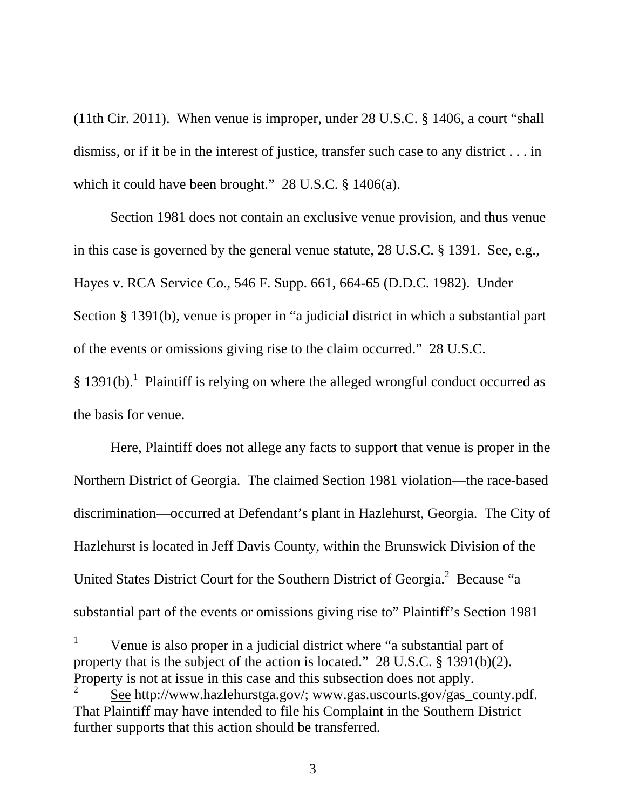(11th Cir. 2011). When venue is improper, under 28 U.S.C. § 1406, a court "shall dismiss, or if it be in the interest of justice, transfer such case to any district . . . in which it could have been brought." 28 U.S.C. § 1406(a).

Section 1981 does not contain an exclusive venue provision, and thus venue in this case is governed by the general venue statute, 28 U.S.C. § 1391. See, e.g., Hayes v. RCA Service Co., 546 F. Supp. 661, 664-65 (D.D.C. 1982). Under Section § 1391(b), venue is proper in "a judicial district in which a substantial part of the events or omissions giving rise to the claim occurred." 28 U.S.C.  $§$  1391(b).<sup>1</sup> Plaintiff is relying on where the alleged wrongful conduct occurred as

the basis for venue.

-

Here, Plaintiff does not allege any facts to support that venue is proper in the Northern District of Georgia. The claimed Section 1981 violation—the race-based discrimination—occurred at Defendant's plant in Hazlehurst, Georgia. The City of Hazlehurst is located in Jeff Davis County, within the Brunswick Division of the United States District Court for the Southern District of Georgia.<sup>2</sup> Because "a substantial part of the events or omissions giving rise to" Plaintiff's Section 1981

1 Venue is also proper in a judicial district where "a substantial part of property that is the subject of the action is located." 28 U.S.C. § 1391(b)(2). Property is not at issue in this case and this subsection does not apply.

<sup>2</sup> See http://www.hazlehurstga.gov/; www.gas.uscourts.gov/gas\_county.pdf. That Plaintiff may have intended to file his Complaint in the Southern District further supports that this action should be transferred.